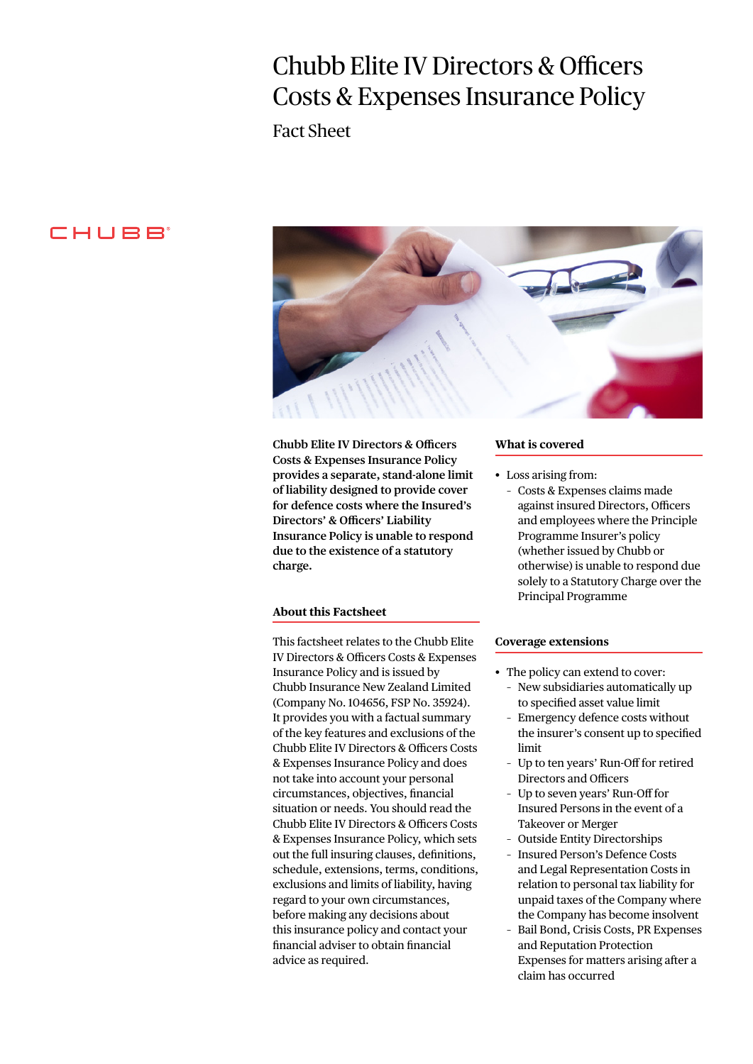# Chubb Elite IV Directors & Officers Costs & Expenses Insurance Policy

Fact Sheet

## CHUBB<sup>®</sup>



**Chubb Elite IV Directors & Officers Costs & Expenses Insurance Policy provides a separate, stand-alone limit of liability designed to provide cover for defence costs where the Insured's Directors' & Officers' Liability Insurance Policy is unable to respond due to the existence of a statutory charge.**

### **About this Factsheet**

This factsheet relates to the Chubb Elite IV Directors & Officers Costs & Expenses Insurance Policy and is issued by Chubb Insurance New Zealand Limited (Company No. 104656, FSP No. 35924). It provides you with a factual summary of the key features and exclusions of the Chubb Elite IV Directors & Officers Costs & Expenses Insurance Policy and does not take into account your personal circumstances, objectives, financial situation or needs. You should read the Chubb Elite IV Directors & Officers Costs & Expenses Insurance Policy, which sets out the full insuring clauses, definitions, schedule, extensions, terms, conditions, exclusions and limits of liability, having regard to your own circumstances, before making any decisions about this insurance policy and contact your financial adviser to obtain financial advice as required.

#### **What is covered**

- Loss arising from:
	- Costs & Expenses claims made against insured Directors, Officers and employees where the Principle Programme Insurer's policy (whether issued by Chubb or otherwise) is unable to respond due solely to a Statutory Charge over the Principal Programme

#### **Coverage extensions**

- The policy can extend to cover:
	- New subsidiaries automatically up to specified asset value limit
	- Emergency defence costs without the insurer's consent up to specified limit
	- Up to ten years' Run-Off for retired Directors and Officers
	- Up to seven years' Run-Off for Insured Persons in the event of a Takeover or Merger
	- Outside Entity Directorships
	- Insured Person's Defence Costs and Legal Representation Costs in relation to personal tax liability for unpaid taxes of the Company where the Company has become insolvent
	- Bail Bond, Crisis Costs, PR Expenses and Reputation Protection Expenses for matters arising after a claim has occurred